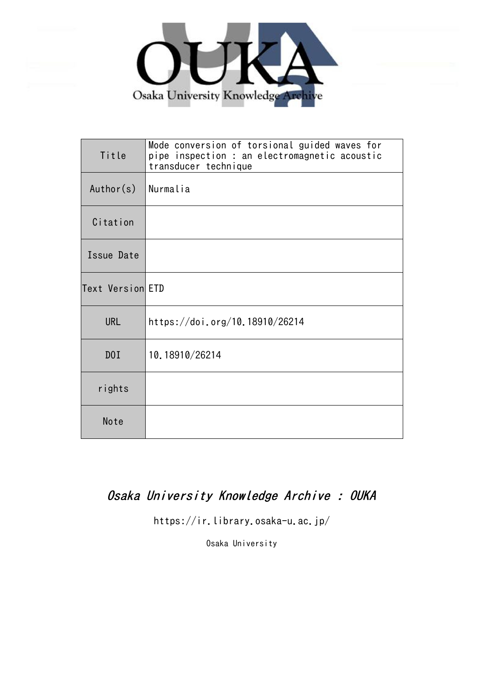

| Title            | Mode conversion of torsional guided waves for<br>pipe inspection : an electromagnetic acoustic<br>transducer technique |  |  |  |
|------------------|------------------------------------------------------------------------------------------------------------------------|--|--|--|
| Author(s)        | Nurmalia                                                                                                               |  |  |  |
| Citation         |                                                                                                                        |  |  |  |
| Issue Date       |                                                                                                                        |  |  |  |
| Text Version ETD |                                                                                                                        |  |  |  |
| <b>URL</b>       | https://doi.org/10.18910/26214                                                                                         |  |  |  |
| D0I              | 10.18910/26214                                                                                                         |  |  |  |
| rights           |                                                                                                                        |  |  |  |
| Note             |                                                                                                                        |  |  |  |

## Osaka University Knowledge Archive : OUKA

https://ir.library.osaka-u.ac.jp/

Osaka University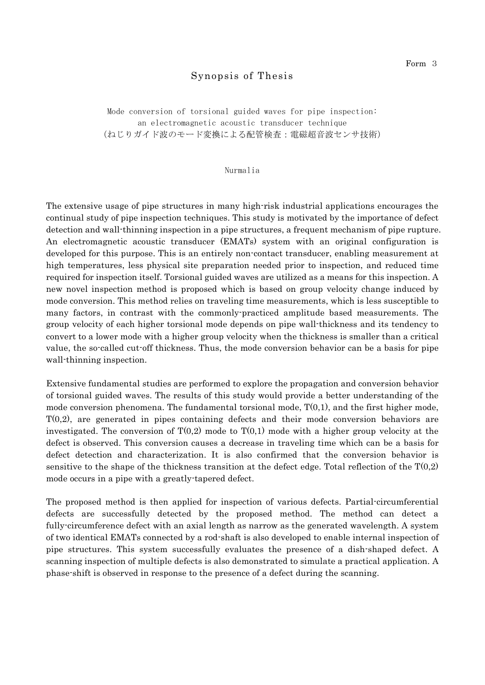## Synopsis of Thesis

Mode conversion of torsional guided waves for pipe inspection: an electromagnetic acoustic transducer technique (ねじりガイド波のモード変換による配管検査:電磁超音波センサ技術)

## Nurmalia

The extensive usage of pipe structures in many high-risk industrial applications encourages the continual study of pipe inspection techniques. This study is motivated by the importance of defect detection and wall-thinning inspection in a pipe structures, a frequent mechanism of pipe rupture. An electromagnetic acoustic transducer (EMATs) system with an original configuration is developed for this purpose. This is an entirely non-contact transducer, enabling measurement at high temperatures, less physical site preparation needed prior to inspection, and reduced time required for inspection itself. Torsional guided waves are utilized as a means for this inspection. A new novel inspection method is proposed which is based on group velocity change induced by mode conversion. This method relies on traveling time measurements, which is less susceptible to many factors, in contrast with the commonly-practiced amplitude based measurements. The group velocity of each higher torsional mode depends on pipe wall-thickness and its tendency to convert to a lower mode with a higher group velocity when the thickness is smaller than a critical value, the so-called cut-off thickness. Thus, the mode conversion behavior can be a basis for pipe wall-thinning inspection.

Extensive fundamental studies are performed to explore the propagation and conversion behavior of torsional guided waves. The results of this study would provide a better understanding of the mode conversion phenomena. The fundamental torsional mode,  $T(0,1)$ , and the first higher mode, T(0,2), are generated in pipes containing defects and their mode conversion behaviors are investigated. The conversion of  $T(0,2)$  mode to  $T(0,1)$  mode with a higher group velocity at the defect is observed. This conversion causes a decrease in traveling time which can be a basis for defect detection and characterization. It is also confirmed that the conversion behavior is sensitive to the shape of the thickness transition at the defect edge. Total reflection of the  $T(0,2)$ mode occurs in a pipe with a greatly-tapered defect.

The proposed method is then applied for inspection of various defects. Partial-circumferential defects are successfully detected by the proposed method. The method can detect a fully-circumference defect with an axial length as narrow as the generated wavelength. A system of two identical EMATs connected by a rod-shaft is also developed to enable internal inspection of pipe structures. This system successfully evaluates the presence of a dish-shaped defect. A scanning inspection of multiple defects is also demonstrated to simulate a practical application. A phase-shift is observed in response to the presence of a defect during the scanning.